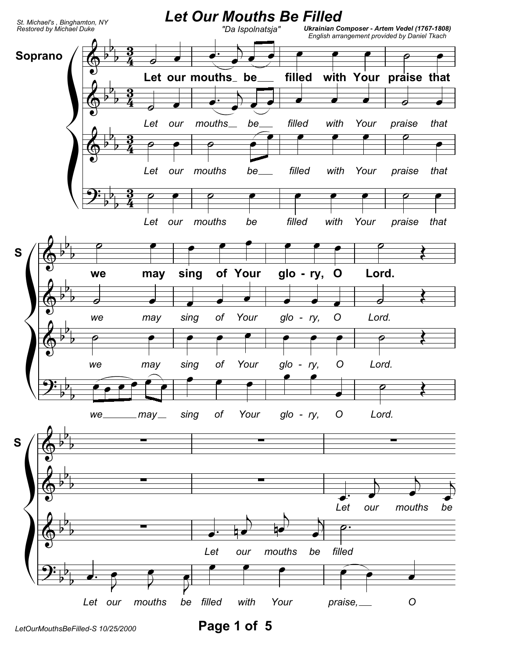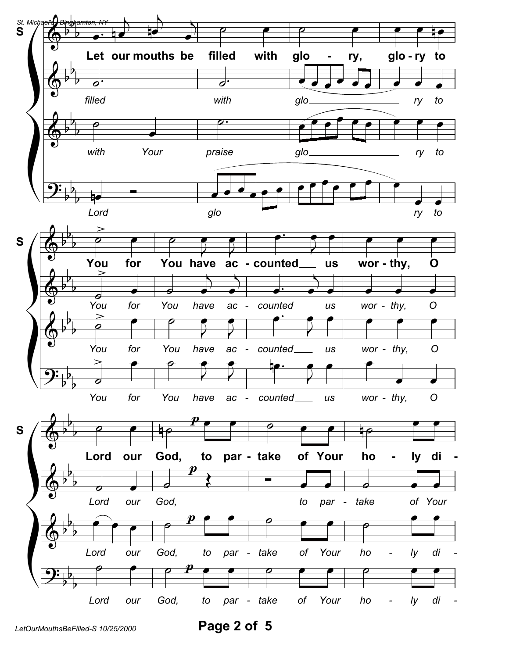

Page 2 of 5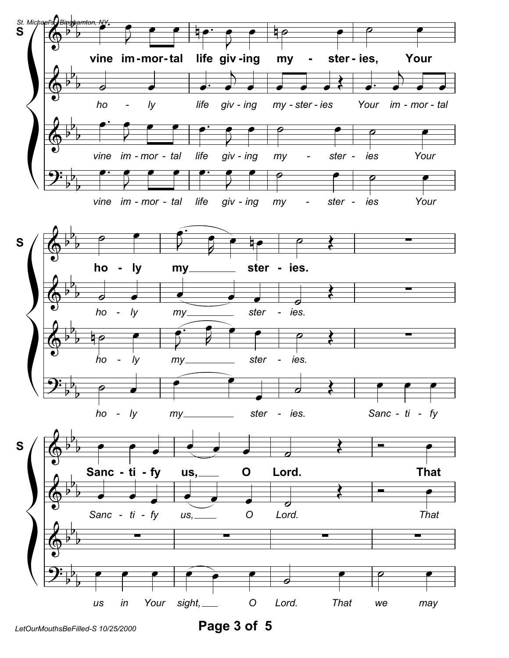

Page 3 of 5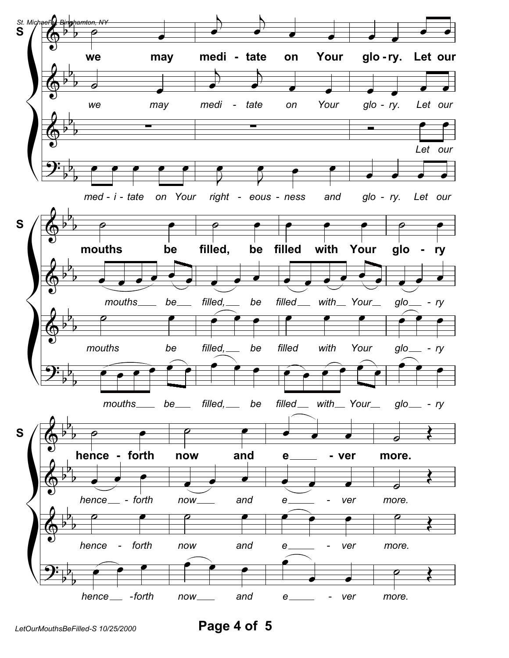